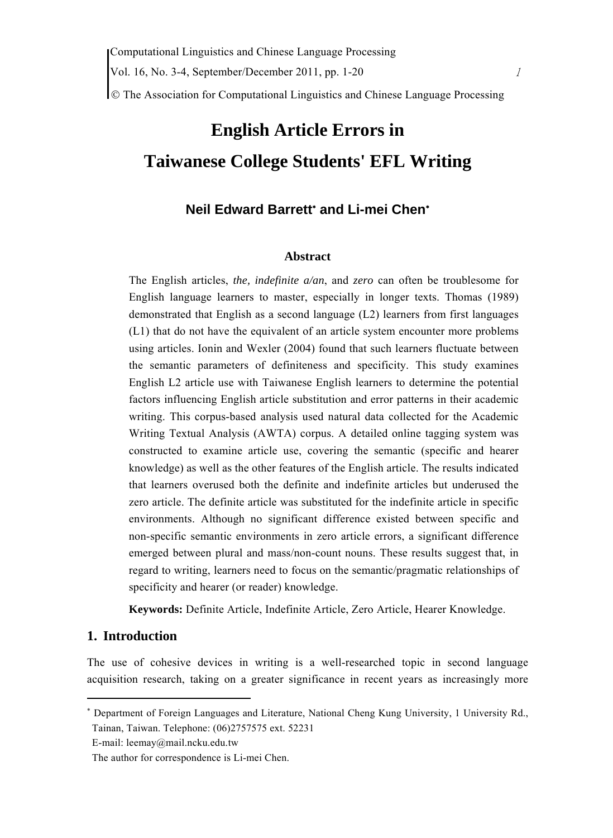© The Association for Computational Linguistics and Chinese Language Processing

# **English Article Errors in Taiwanese College Students' EFL Writing**

# **Neil Edward Barrett**<sup>∗</sup>  **and Li-mei Chen**<sup>∗</sup>

#### **Abstract**

The English articles, *the, indefinite a/an*, and *zero* can often be troublesome for English language learners to master, especially in longer texts. Thomas (1989) demonstrated that English as a second language (L2) learners from first languages (L1) that do not have the equivalent of an article system encounter more problems using articles. Ionin and Wexler (2004) found that such learners fluctuate between the semantic parameters of definiteness and specificity. This study examines English L2 article use with Taiwanese English learners to determine the potential factors influencing English article substitution and error patterns in their academic writing. This corpus-based analysis used natural data collected for the Academic Writing Textual Analysis (AWTA) corpus. A detailed online tagging system was constructed to examine article use, covering the semantic (specific and hearer knowledge) as well as the other features of the English article. The results indicated that learners overused both the definite and indefinite articles but underused the zero article. The definite article was substituted for the indefinite article in specific environments. Although no significant difference existed between specific and non-specific semantic environments in zero article errors, a significant difference emerged between plural and mass/non-count nouns. These results suggest that, in regard to writing, learners need to focus on the semantic/pragmatic relationships of specificity and hearer (or reader) knowledge.

**Keywords:** Definite Article, Indefinite Article, Zero Article, Hearer Knowledge.

# **1. Introduction**

The use of cohesive devices in writing is a well-researched topic in second language acquisition research, taking on a greater significance in recent years as increasingly more

<sup>∗</sup> Department of Foreign Languages and Literature, National Cheng Kung University, 1 University Rd., Tainan, Taiwan. Telephone: (06)2757575 ext. 52231

E-mail: leemay@mail.ncku.edu.tw

The author for correspondence is Li-mei Chen.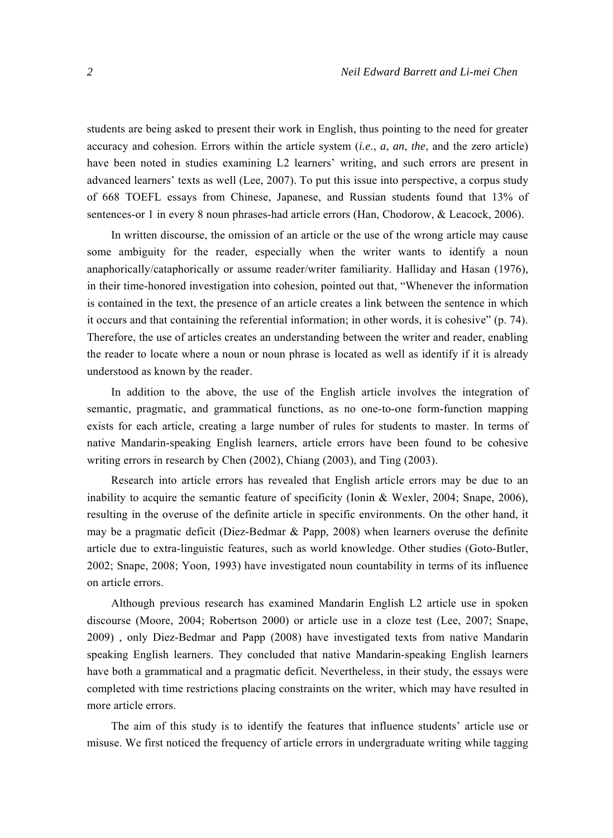students are being asked to present their work in English, thus pointing to the need for greater accuracy and cohesion. Errors within the article system (*i.e*., *a*, *an*, *the*, and the zero article) have been noted in studies examining L2 learners' writing, and such errors are present in advanced learners' texts as well (Lee, 2007). To put this issue into perspective, a corpus study of 668 TOEFL essays from Chinese, Japanese, and Russian students found that 13% of sentences-or 1 in every 8 noun phrases-had article errors (Han, Chodorow, & Leacock, 2006).

In written discourse, the omission of an article or the use of the wrong article may cause some ambiguity for the reader, especially when the writer wants to identify a noun anaphorically/cataphorically or assume reader/writer familiarity. Halliday and Hasan (1976), in their time-honored investigation into cohesion, pointed out that, "Whenever the information is contained in the text, the presence of an article creates a link between the sentence in which it occurs and that containing the referential information; in other words, it is cohesive" (p. 74). Therefore, the use of articles creates an understanding between the writer and reader, enabling the reader to locate where a noun or noun phrase is located as well as identify if it is already understood as known by the reader.

In addition to the above, the use of the English article involves the integration of semantic, pragmatic, and grammatical functions, as no one-to-one form-function mapping exists for each article, creating a large number of rules for students to master. In terms of native Mandarin-speaking English learners, article errors have been found to be cohesive writing errors in research by Chen (2002), Chiang (2003), and Ting (2003).

Research into article errors has revealed that English article errors may be due to an inability to acquire the semantic feature of specificity (Ionin & Wexler, 2004; Snape, 2006), resulting in the overuse of the definite article in specific environments. On the other hand, it may be a pragmatic deficit (Diez-Bedmar & Papp, 2008) when learners overuse the definite article due to extra-linguistic features, such as world knowledge. Other studies (Goto-Butler, 2002; Snape, 2008; Yoon, 1993) have investigated noun countability in terms of its influence on article errors.

Although previous research has examined Mandarin English L2 article use in spoken discourse (Moore, 2004; Robertson 2000) or article use in a cloze test (Lee, 2007; Snape, 2009) , only Diez-Bedmar and Papp (2008) have investigated texts from native Mandarin speaking English learners. They concluded that native Mandarin-speaking English learners have both a grammatical and a pragmatic deficit. Nevertheless, in their study, the essays were completed with time restrictions placing constraints on the writer, which may have resulted in more article errors.

The aim of this study is to identify the features that influence students' article use or misuse. We first noticed the frequency of article errors in undergraduate writing while tagging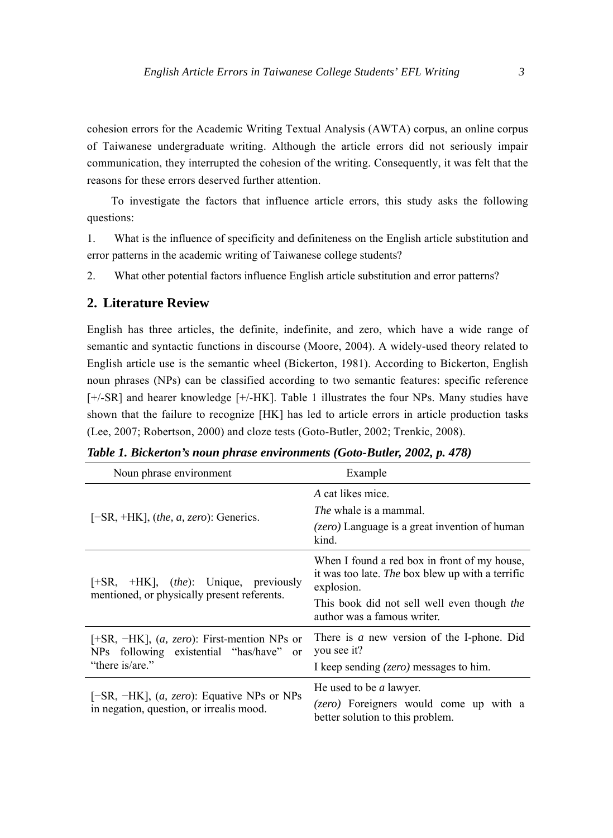cohesion errors for the Academic Writing Textual Analysis (AWTA) corpus, an online corpus of Taiwanese undergraduate writing. Although the article errors did not seriously impair communication, they interrupted the cohesion of the writing. Consequently, it was felt that the reasons for these errors deserved further attention.

To investigate the factors that influence article errors, this study asks the following questions:

1. What is the influence of specificity and definiteness on the English article substitution and error patterns in the academic writing of Taiwanese college students?

2. What other potential factors influence English article substitution and error patterns?

## **2. Literature Review**

English has three articles, the definite, indefinite, and zero, which have a wide range of semantic and syntactic functions in discourse (Moore, 2004). A widely-used theory related to English article use is the semantic wheel (Bickerton, 1981). According to Bickerton, English noun phrases (NPs) can be classified according to two semantic features: specific reference [+/-SR] and hearer knowledge [+/-HK]. Table 1 illustrates the four NPs. Many studies have shown that the failure to recognize [HK] has led to article errors in article production tasks (Lee, 2007; Robertson, 2000) and cloze tests (Goto-Butler, 2002; Trenkic, 2008).

| Noun phrase environment                                                                                         | Example                                                                                                                                                                                      |  |  |  |
|-----------------------------------------------------------------------------------------------------------------|----------------------------------------------------------------------------------------------------------------------------------------------------------------------------------------------|--|--|--|
| $[-SR, +HK]$ , (the, a, zero): Generics.                                                                        | A cat likes mice.<br><i>The</i> whale is a mammal.                                                                                                                                           |  |  |  |
|                                                                                                                 | ( <i>zero</i> ) Language is a great invention of human<br>kind.                                                                                                                              |  |  |  |
| $[+SR, +HK]$ , <i>(the)</i> : Unique, previously<br>mentioned, or physically present referents.                 | When I found a red box in front of my house,<br>it was too late. The box blew up with a terrific<br>explosion.<br>This book did not sell well even though the<br>author was a famous writer. |  |  |  |
| $[+SR, -HK]$ , $(a, zero)$ : First-mention NPs or<br>NPs following existential "has/have" or<br>"there is/are." | There is a new version of the I-phone. Did<br>you see it?<br>I keep sending ( <i>zero</i> ) messages to him.                                                                                 |  |  |  |
| [ $-SR$ , $-HK$ ], ( <i>a, zero</i> ): Equative NPs or NPs<br>in negation, question, or irrealis mood.          | He used to be <i>a</i> lawyer.<br>(zero) Foreigners would come up with a<br>better solution to this problem.                                                                                 |  |  |  |

*Table 1. Bickerton's noun phrase environments (Goto-Butler, 2002, p. 478)*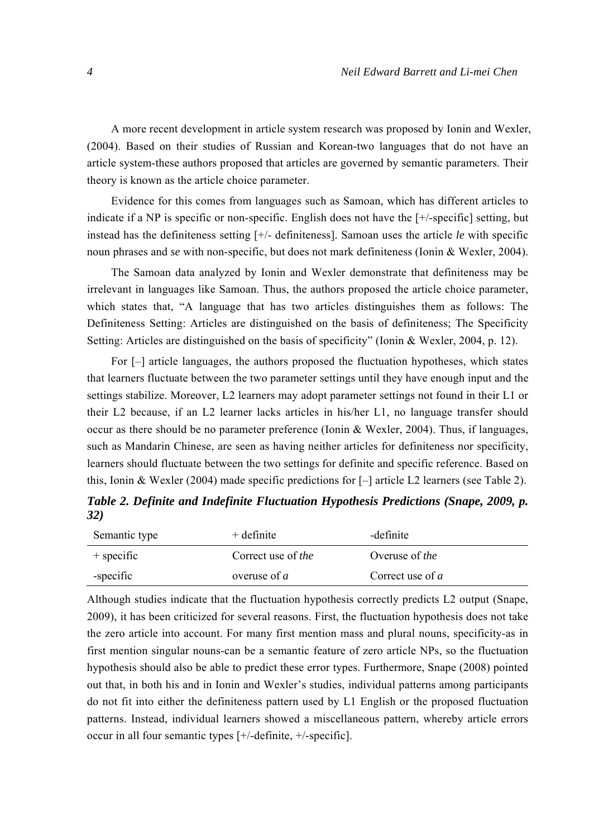A more recent development in article system research was proposed by Ionin and Wexler, (2004). Based on their studies of Russian and Korean-two languages that do not have an article system-these authors proposed that articles are governed by semantic parameters. Their theory is known as the article choice parameter.

Evidence for this comes from languages such as Samoan, which has different articles to indicate if a NP is specific or non-specific. English does not have the [+/-specific] setting, but instead has the definiteness setting [+/- definiteness]. Samoan uses the article *le* with specific noun phrases and *se* with non-specific, but does not mark definiteness (Ionin & Wexler, 2004).

The Samoan data analyzed by Ionin and Wexler demonstrate that definiteness may be irrelevant in languages like Samoan. Thus, the authors proposed the article choice parameter, which states that, "A language that has two articles distinguishes them as follows: The Definiteness Setting: Articles are distinguished on the basis of definiteness; The Specificity Setting: Articles are distinguished on the basis of specificity" (Ionin & Wexler, 2004, p. 12).

For [–] article languages, the authors proposed the fluctuation hypotheses, which states that learners fluctuate between the two parameter settings until they have enough input and the settings stabilize. Moreover, L2 learners may adopt parameter settings not found in their L1 or their L2 because, if an L2 learner lacks articles in his/her L1, no language transfer should occur as there should be no parameter preference (Ionin & Wexler, 2004). Thus, if languages, such as Mandarin Chinese, are seen as having neither articles for definiteness nor specificity, learners should fluctuate between the two settings for definite and specific reference. Based on this, Ionin & Wexler (2004) made specific predictions for [–] article L2 learners (see Table 2).

*Table 2. Definite and Indefinite Fluctuation Hypothesis Predictions (Snape, 2009, p. 32)* 

| Semantic type | $+$ definite       | -definite             |
|---------------|--------------------|-----------------------|
| $+$ specific  | Correct use of the | Overuse of <i>the</i> |
| -specific     | overuse of $a$     | Correct use of $a$    |

Although studies indicate that the fluctuation hypothesis correctly predicts L2 output (Snape, 2009), it has been criticized for several reasons. First, the fluctuation hypothesis does not take the zero article into account. For many first mention mass and plural nouns, specificity-as in first mention singular nouns-can be a semantic feature of zero article NPs, so the fluctuation hypothesis should also be able to predict these error types. Furthermore, Snape (2008) pointed out that, in both his and in Ionin and Wexler's studies, individual patterns among participants do not fit into either the definiteness pattern used by L1 English or the proposed fluctuation patterns. Instead, individual learners showed a miscellaneous pattern, whereby article errors occur in all four semantic types [+/-definite, +/-specific].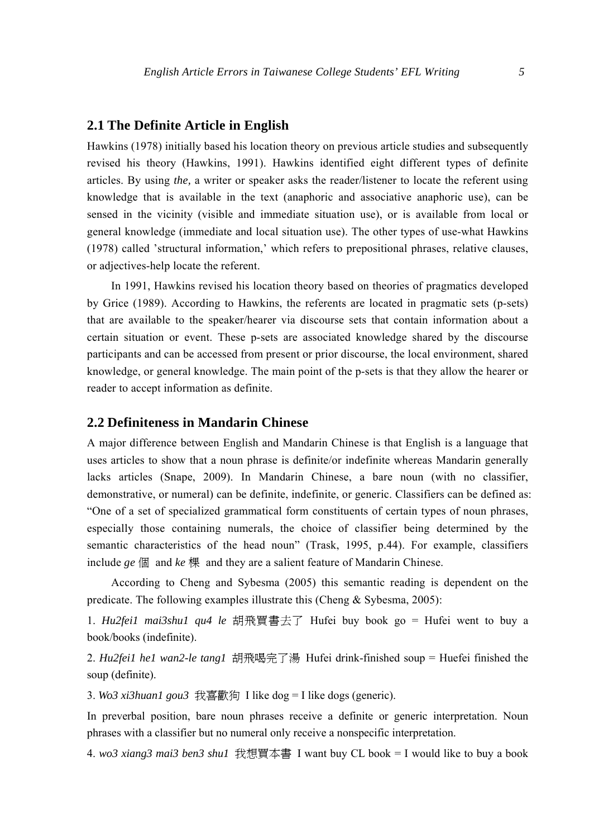#### **2.1 The Definite Article in English**

Hawkins (1978) initially based his location theory on previous article studies and subsequently revised his theory (Hawkins, 1991). Hawkins identified eight different types of definite articles. By using *the,* a writer or speaker asks the reader/listener to locate the referent using knowledge that is available in the text (anaphoric and associative anaphoric use), can be sensed in the vicinity (visible and immediate situation use), or is available from local or general knowledge (immediate and local situation use). The other types of use-what Hawkins (1978) called 'structural information,' which refers to prepositional phrases, relative clauses, or adjectives-help locate the referent.

In 1991, Hawkins revised his location theory based on theories of pragmatics developed by Grice (1989). According to Hawkins, the referents are located in pragmatic sets (p-sets) that are available to the speaker/hearer via discourse sets that contain information about a certain situation or event. These p-sets are associated knowledge shared by the discourse participants and can be accessed from present or prior discourse, the local environment, shared knowledge, or general knowledge. The main point of the p-sets is that they allow the hearer or reader to accept information as definite.

## **2.2 Definiteness in Mandarin Chinese**

A major difference between English and Mandarin Chinese is that English is a language that uses articles to show that a noun phrase is definite/or indefinite whereas Mandarin generally lacks articles (Snape, 2009). In Mandarin Chinese, a bare noun (with no classifier, demonstrative, or numeral) can be definite, indefinite, or generic. Classifiers can be defined as: "One of a set of specialized grammatical form constituents of certain types of noun phrases, especially those containing numerals, the choice of classifier being determined by the semantic characteristics of the head noun" (Trask, 1995, p.44). For example, classifiers include *ge* 個 and *ke* 棵 and they are a salient feature of Mandarin Chinese.

According to Cheng and Sybesma (2005) this semantic reading is dependent on the predicate. The following examples illustrate this (Cheng & Sybesma, 2005):

1. *Hu2fei1 mai3shu1 qu4 le* 胡飛買書去了 Hufei buy book go = Hufei went to buy a book/books (indefinite).

2. *Hu2fei1 he1 wan2-le tang1* 胡飛喝完了湯 Hufei drink-finished soup = Huefei finished the soup (definite).

3. *Wo3 xi3huan1 gou3* 我喜歡狗 I like dog = I like dogs (generic).

In preverbal position, bare noun phrases receive a definite or generic interpretation. Noun phrases with a classifier but no numeral only receive a nonspecific interpretation.

4. *wo3 xiang3 mai3 ben3 shu1* 我想買本書 I want buy CL book = I would like to buy a book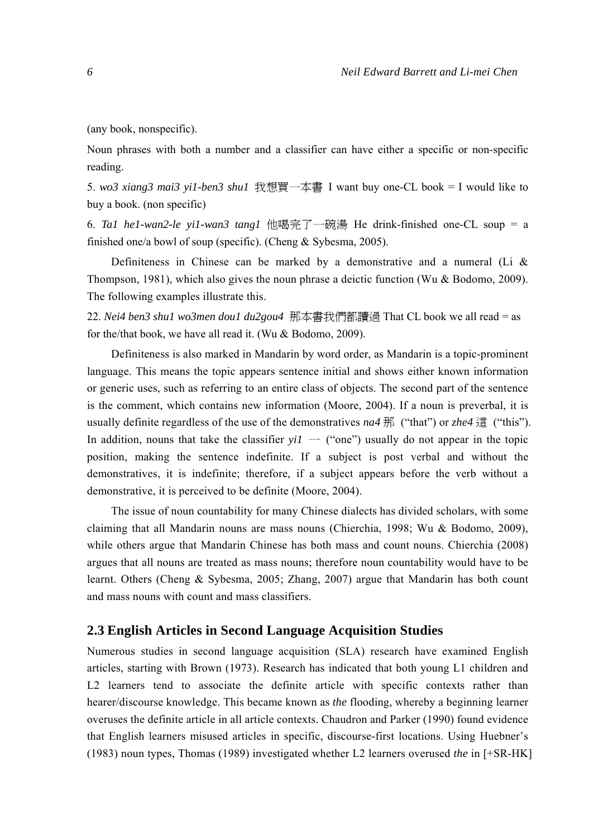(any book, nonspecific).

Noun phrases with both a number and a classifier can have either a specific or non-specific reading.

5. *wo3 xiang3 mai3 yi1-ben3 shu1* 我想買一本書 I want buy one-CL book = I would like to buy a book. (non specific)

6. *Ta1 he1-wan2-le yi1-wan3 tang1* 他喝完了一碗湯 He drink-finished one-CL soup = a finished one/a bowl of soup (specific). (Cheng & Sybesma, 2005).

Definiteness in Chinese can be marked by a demonstrative and a numeral (Li  $\&$ Thompson, 1981), which also gives the noun phrase a deictic function (Wu & Bodomo, 2009). The following examples illustrate this.

22. *Nei4 ben3 shu1 wo3men dou1 du2gou4* 那本書我們都讀過 That CL book we all read = as for the/that book, we have all read it. (Wu & Bodomo, 2009).

Definiteness is also marked in Mandarin by word order, as Mandarin is a topic-prominent language. This means the topic appears sentence initial and shows either known information or generic uses, such as referring to an entire class of objects. The second part of the sentence is the comment, which contains new information (Moore, 2004). If a noun is preverbal, it is usually definite regardless of the use of the demonstratives *na4* 那 ("that") or *zhe4* 這 ("this"). In addition, nouns that take the classifier  $y_iI -$  ("one") usually do not appear in the topic position, making the sentence indefinite. If a subject is post verbal and without the demonstratives, it is indefinite; therefore, if a subject appears before the verb without a demonstrative, it is perceived to be definite (Moore, 2004).

The issue of noun countability for many Chinese dialects has divided scholars, with some claiming that all Mandarin nouns are mass nouns (Chierchia, 1998; Wu & Bodomo, 2009), while others argue that Mandarin Chinese has both mass and count nouns. Chierchia (2008) argues that all nouns are treated as mass nouns; therefore noun countability would have to be learnt. Others (Cheng & Sybesma, 2005; Zhang, 2007) argue that Mandarin has both count and mass nouns with count and mass classifiers.

#### **2.3 English Articles in Second Language Acquisition Studies**

Numerous studies in second language acquisition (SLA) research have examined English articles, starting with Brown (1973). Research has indicated that both young L1 children and L2 learners tend to associate the definite article with specific contexts rather than hearer/discourse knowledge. This became known as *the* flooding, whereby a beginning learner overuses the definite article in all article contexts. Chaudron and Parker (1990) found evidence that English learners misused articles in specific, discourse-first locations. Using Huebner's (1983) noun types, Thomas (1989) investigated whether L2 learners overused *the* in [+SR-HK]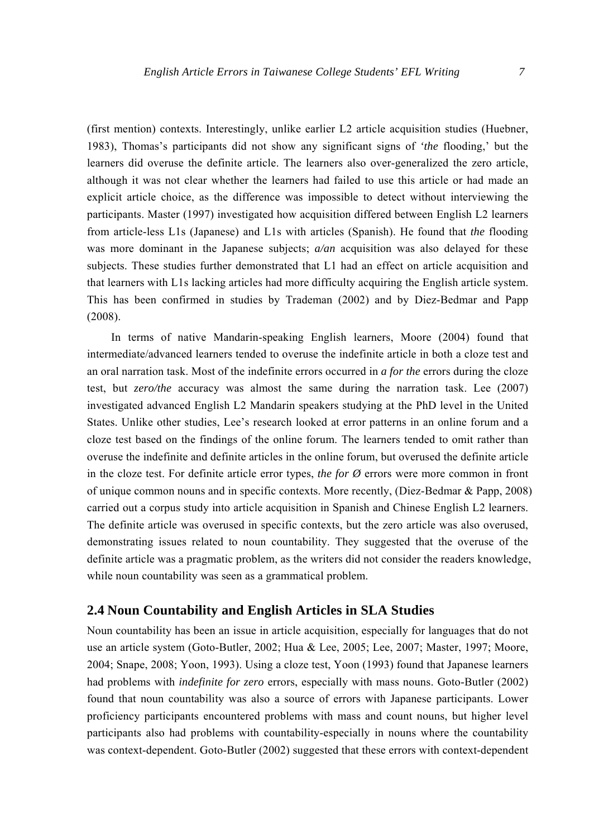(first mention) contexts. Interestingly, unlike earlier L2 article acquisition studies (Huebner, 1983), Thomas's participants did not show any significant signs of *'the* flooding,' but the learners did overuse the definite article. The learners also over-generalized the zero article, although it was not clear whether the learners had failed to use this article or had made an explicit article choice, as the difference was impossible to detect without interviewing the participants. Master (1997) investigated how acquisition differed between English L2 learners from article-less L1s (Japanese) and L1s with articles (Spanish). He found that *the* flooding was more dominant in the Japanese subjects;  $a/an$  acquisition was also delayed for these subjects. These studies further demonstrated that L1 had an effect on article acquisition and that learners with L1s lacking articles had more difficulty acquiring the English article system. This has been confirmed in studies by Trademan (2002) and by Diez-Bedmar and Papp (2008).

In terms of native Mandarin-speaking English learners, Moore (2004) found that intermediate/advanced learners tended to overuse the indefinite article in both a cloze test and an oral narration task. Most of the indefinite errors occurred in *a for the* errors during the cloze test, but *zero/the* accuracy was almost the same during the narration task. Lee (2007) investigated advanced English L2 Mandarin speakers studying at the PhD level in the United States. Unlike other studies, Lee's research looked at error patterns in an online forum and a cloze test based on the findings of the online forum. The learners tended to omit rather than overuse the indefinite and definite articles in the online forum, but overused the definite article in the cloze test. For definite article error types, *the for*  $\emptyset$  errors were more common in front of unique common nouns and in specific contexts. More recently, (Diez-Bedmar & Papp, 2008) carried out a corpus study into article acquisition in Spanish and Chinese English L2 learners. The definite article was overused in specific contexts, but the zero article was also overused, demonstrating issues related to noun countability. They suggested that the overuse of the definite article was a pragmatic problem, as the writers did not consider the readers knowledge, while noun countability was seen as a grammatical problem.

#### **2.4 Noun Countability and English Articles in SLA Studies**

Noun countability has been an issue in article acquisition, especially for languages that do not use an article system (Goto-Butler, 2002; Hua & Lee, 2005; Lee, 2007; Master, 1997; Moore, 2004; Snape, 2008; Yoon, 1993). Using a cloze test, Yoon (1993) found that Japanese learners had problems with *indefinite for zero* errors, especially with mass nouns. Goto-Butler (2002) found that noun countability was also a source of errors with Japanese participants. Lower proficiency participants encountered problems with mass and count nouns, but higher level participants also had problems with countability-especially in nouns where the countability was context-dependent. Goto-Butler (2002) suggested that these errors with context-dependent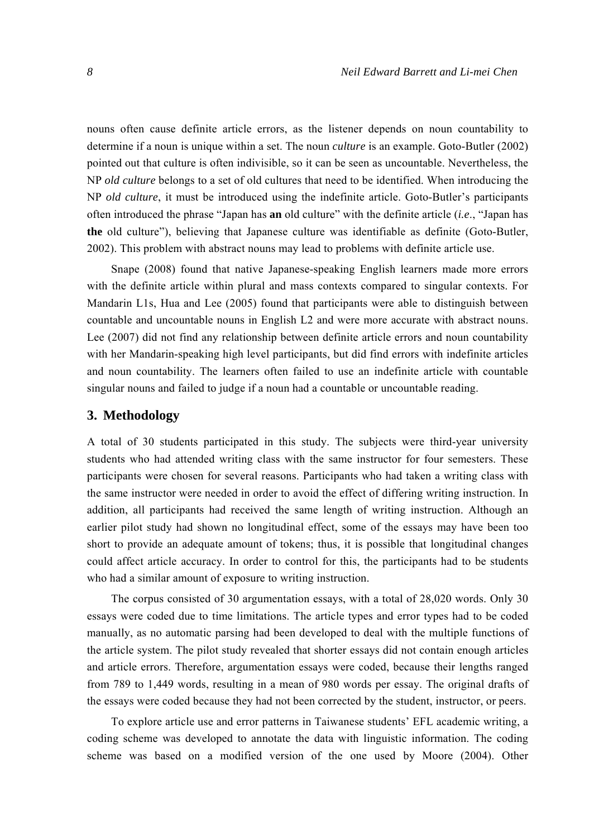nouns often cause definite article errors, as the listener depends on noun countability to determine if a noun is unique within a set. The noun *culture* is an example. Goto-Butler (2002) pointed out that culture is often indivisible, so it can be seen as uncountable. Nevertheless, the NP *old culture* belongs to a set of old cultures that need to be identified. When introducing the NP *old culture*, it must be introduced using the indefinite article. Goto-Butler's participants often introduced the phrase "Japan has **an** old culture" with the definite article (*i.e*., "Japan has **the** old culture"), believing that Japanese culture was identifiable as definite (Goto-Butler, 2002). This problem with abstract nouns may lead to problems with definite article use.

Snape (2008) found that native Japanese-speaking English learners made more errors with the definite article within plural and mass contexts compared to singular contexts. For Mandarin L1s, Hua and Lee (2005) found that participants were able to distinguish between countable and uncountable nouns in English L2 and were more accurate with abstract nouns. Lee (2007) did not find any relationship between definite article errors and noun countability with her Mandarin-speaking high level participants, but did find errors with indefinite articles and noun countability. The learners often failed to use an indefinite article with countable singular nouns and failed to judge if a noun had a countable or uncountable reading.

#### **3. Methodology**

A total of 30 students participated in this study. The subjects were third-year university students who had attended writing class with the same instructor for four semesters. These participants were chosen for several reasons. Participants who had taken a writing class with the same instructor were needed in order to avoid the effect of differing writing instruction. In addition, all participants had received the same length of writing instruction. Although an earlier pilot study had shown no longitudinal effect, some of the essays may have been too short to provide an adequate amount of tokens; thus, it is possible that longitudinal changes could affect article accuracy. In order to control for this, the participants had to be students who had a similar amount of exposure to writing instruction.

The corpus consisted of 30 argumentation essays, with a total of 28,020 words. Only 30 essays were coded due to time limitations. The article types and error types had to be coded manually, as no automatic parsing had been developed to deal with the multiple functions of the article system. The pilot study revealed that shorter essays did not contain enough articles and article errors. Therefore, argumentation essays were coded, because their lengths ranged from 789 to 1,449 words, resulting in a mean of 980 words per essay. The original drafts of the essays were coded because they had not been corrected by the student, instructor, or peers.

To explore article use and error patterns in Taiwanese students' EFL academic writing, a coding scheme was developed to annotate the data with linguistic information. The coding scheme was based on a modified version of the one used by Moore (2004). Other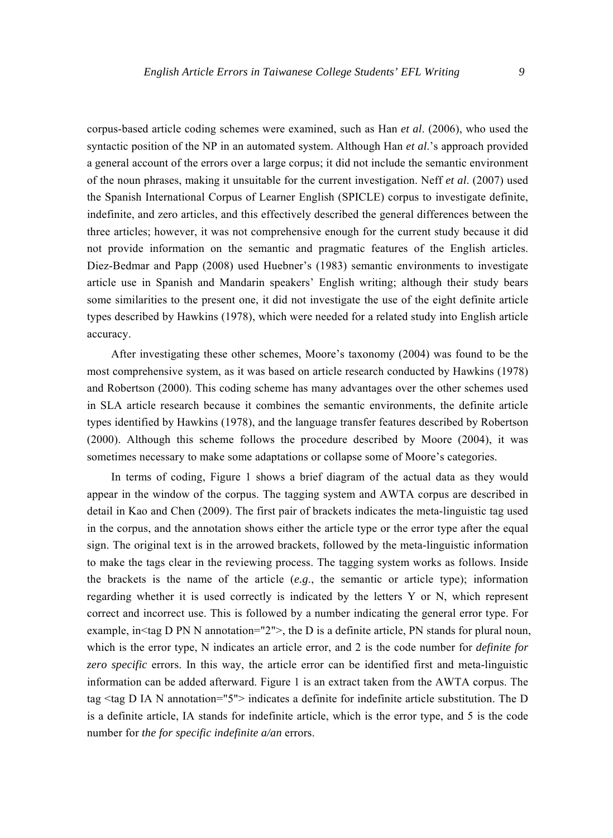corpus-based article coding schemes were examined, such as Han *et al*. (2006), who used the syntactic position of the NP in an automated system. Although Han *et al*.'s approach provided a general account of the errors over a large corpus; it did not include the semantic environment of the noun phrases, making it unsuitable for the current investigation. Neff *et al*. (2007) used the Spanish International Corpus of Learner English (SPICLE) corpus to investigate definite, indefinite, and zero articles, and this effectively described the general differences between the three articles; however, it was not comprehensive enough for the current study because it did not provide information on the semantic and pragmatic features of the English articles. Diez-Bedmar and Papp (2008) used Huebner's (1983) semantic environments to investigate article use in Spanish and Mandarin speakers' English writing; although their study bears some similarities to the present one, it did not investigate the use of the eight definite article types described by Hawkins (1978), which were needed for a related study into English article accuracy.

After investigating these other schemes, Moore's taxonomy (2004) was found to be the most comprehensive system, as it was based on article research conducted by Hawkins (1978) and Robertson (2000). This coding scheme has many advantages over the other schemes used in SLA article research because it combines the semantic environments, the definite article types identified by Hawkins (1978), and the language transfer features described by Robertson (2000). Although this scheme follows the procedure described by Moore (2004), it was sometimes necessary to make some adaptations or collapse some of Moore's categories.

In terms of coding, Figure 1 shows a brief diagram of the actual data as they would appear in the window of the corpus. The tagging system and AWTA corpus are described in detail in Kao and Chen (2009). The first pair of brackets indicates the meta-linguistic tag used in the corpus, and the annotation shows either the article type or the error type after the equal sign. The original text is in the arrowed brackets, followed by the meta-linguistic information to make the tags clear in the reviewing process. The tagging system works as follows. Inside the brackets is the name of the article (*e.g*., the semantic or article type); information regarding whether it is used correctly is indicated by the letters Y or N, which represent correct and incorrect use. This is followed by a number indicating the general error type. For example, in  $\text{tag } D \text{ PN } N$  annotation="2">, the D is a definite article, PN stands for plural noun, which is the error type, N indicates an article error, and 2 is the code number for *definite for zero specific* errors. In this way, the article error can be identified first and meta-linguistic information can be added afterward. Figure 1 is an extract taken from the AWTA corpus. The tag <tag D IA N annotation="5"> indicates a definite for indefinite article substitution. The D is a definite article, IA stands for indefinite article, which is the error type, and 5 is the code number for *the for specific indefinite a/an* errors.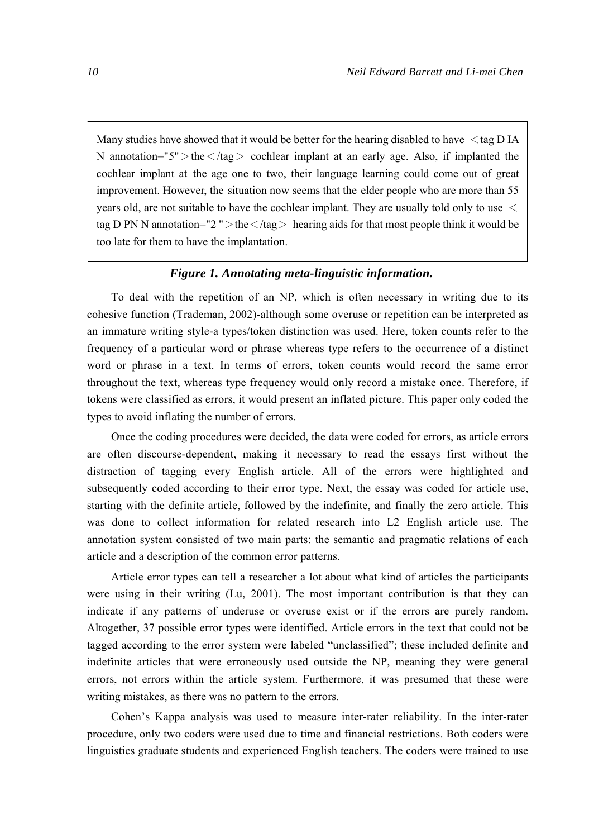Many studies have showed that it would be better for the hearing disabled to have  $\lt$ tag D IA N annotation=" $5$ " > the  $\langle \text{tag} \rangle$  cochlear implant at an early age. Also, if implanted the cochlear implant at the age one to two, their language learning could come out of great improvement. However, the situation now seems that the elder people who are more than 55 years old, are not suitable to have the cochlear implant. They are usually told only to use < tag D PN N annotation="2" > the  $\langle$  /tag > hearing aids for that most people think it would be too late for them to have the implantation.

#### *Figure 1. Annotating meta-linguistic information.*

To deal with the repetition of an NP, which is often necessary in writing due to its cohesive function (Trademan, 2002)-although some overuse or repetition can be interpreted as an immature writing style-a types/token distinction was used. Here, token counts refer to the frequency of a particular word or phrase whereas type refers to the occurrence of a distinct word or phrase in a text. In terms of errors, token counts would record the same error throughout the text, whereas type frequency would only record a mistake once. Therefore, if tokens were classified as errors, it would present an inflated picture. This paper only coded the types to avoid inflating the number of errors.

Once the coding procedures were decided, the data were coded for errors, as article errors are often discourse-dependent, making it necessary to read the essays first without the distraction of tagging every English article. All of the errors were highlighted and subsequently coded according to their error type. Next, the essay was coded for article use, starting with the definite article, followed by the indefinite, and finally the zero article. This was done to collect information for related research into L2 English article use. The annotation system consisted of two main parts: the semantic and pragmatic relations of each article and a description of the common error patterns.

Article error types can tell a researcher a lot about what kind of articles the participants were using in their writing (Lu, 2001). The most important contribution is that they can indicate if any patterns of underuse or overuse exist or if the errors are purely random. Altogether, 37 possible error types were identified. Article errors in the text that could not be tagged according to the error system were labeled "unclassified"; these included definite and indefinite articles that were erroneously used outside the NP, meaning they were general errors, not errors within the article system. Furthermore, it was presumed that these were writing mistakes, as there was no pattern to the errors.

Cohen's Kappa analysis was used to measure inter-rater reliability. In the inter-rater procedure, only two coders were used due to time and financial restrictions. Both coders were linguistics graduate students and experienced English teachers. The coders were trained to use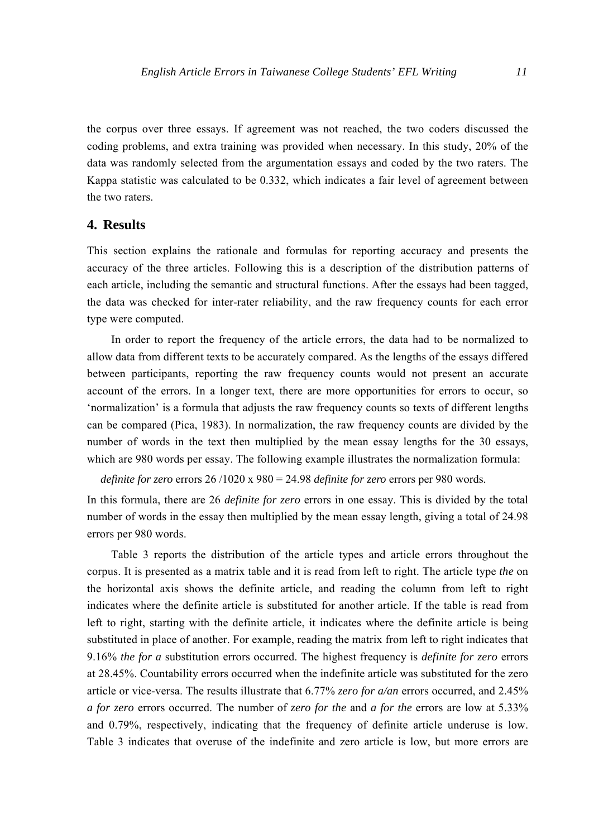the corpus over three essays. If agreement was not reached, the two coders discussed the coding problems, and extra training was provided when necessary. In this study, 20% of the data was randomly selected from the argumentation essays and coded by the two raters. The Kappa statistic was calculated to be 0.332, which indicates a fair level of agreement between the two raters.

#### **4. Results**

This section explains the rationale and formulas for reporting accuracy and presents the accuracy of the three articles. Following this is a description of the distribution patterns of each article, including the semantic and structural functions. After the essays had been tagged, the data was checked for inter-rater reliability, and the raw frequency counts for each error type were computed.

In order to report the frequency of the article errors, the data had to be normalized to allow data from different texts to be accurately compared. As the lengths of the essays differed between participants, reporting the raw frequency counts would not present an accurate account of the errors. In a longer text, there are more opportunities for errors to occur, so 'normalization' is a formula that adjusts the raw frequency counts so texts of different lengths can be compared (Pica, 1983). In normalization, the raw frequency counts are divided by the number of words in the text then multiplied by the mean essay lengths for the 30 essays, which are 980 words per essay. The following example illustrates the normalization formula:

*definite for zero* errors 26 /1020 x 980 = 24.98 *definite for zero* errors per 980 words.

In this formula, there are 26 *definite for zero* errors in one essay. This is divided by the total number of words in the essay then multiplied by the mean essay length, giving a total of 24.98 errors per 980 words.

Table 3 reports the distribution of the article types and article errors throughout the corpus. It is presented as a matrix table and it is read from left to right. The article type *the* on the horizontal axis shows the definite article, and reading the column from left to right indicates where the definite article is substituted for another article. If the table is read from left to right, starting with the definite article, it indicates where the definite article is being substituted in place of another. For example, reading the matrix from left to right indicates that 9.16% *the for a* substitution errors occurred. The highest frequency is *definite for zero* errors at 28.45%. Countability errors occurred when the indefinite article was substituted for the zero article or vice-versa. The results illustrate that 6.77% *zero for a/an* errors occurred, and 2.45% *a for zero* errors occurred. The number of *zero for the* and *a for the* errors are low at 5.33% and 0.79%, respectively, indicating that the frequency of definite article underuse is low. Table 3 indicates that overuse of the indefinite and zero article is low, but more errors are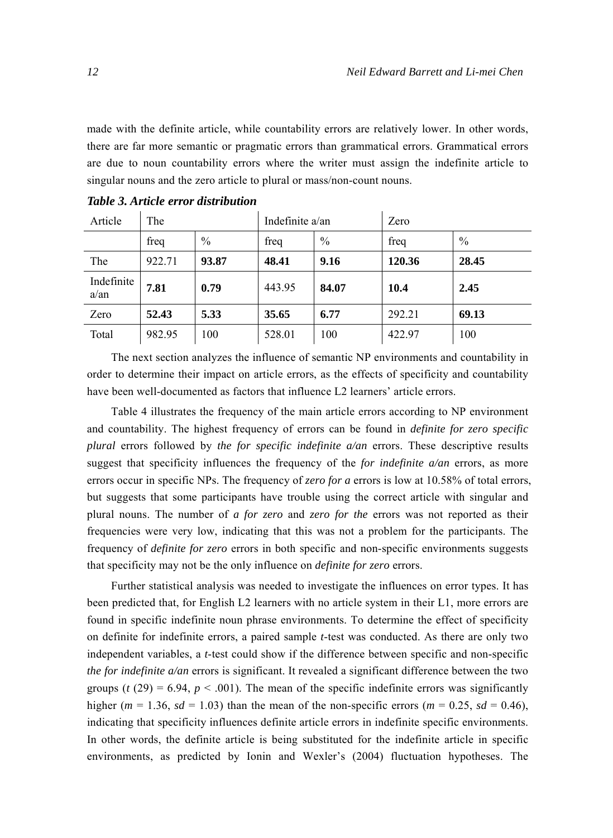made with the definite article, while countability errors are relatively lower. In other words, there are far more semantic or pragmatic errors than grammatical errors. Grammatical errors are due to noun countability errors where the writer must assign the indefinite article to singular nouns and the zero article to plural or mass/non-count nouns.

| Article               | The    |               | Indefinite $a$ /an |               | Zero   |               |
|-----------------------|--------|---------------|--------------------|---------------|--------|---------------|
|                       | freq   | $\frac{0}{0}$ | freq               | $\frac{0}{0}$ | freq   | $\frac{0}{0}$ |
| The                   | 922.71 | 93.87         | 48.41              | 9.16          | 120.36 | 28.45         |
| Indefinite<br>$a$ /an | 7.81   | 0.79          | 443.95             | 84.07         | 10.4   | 2.45          |
| Zero                  | 52.43  | 5.33          | 35.65              | 6.77          | 292.21 | 69.13         |
| Total                 | 982.95 | 100           | 528.01             | 100           | 422.97 | 100           |

*Table 3. Article error distribution* 

The next section analyzes the influence of semantic NP environments and countability in order to determine their impact on article errors, as the effects of specificity and countability have been well-documented as factors that influence L2 learners' article errors.

Table 4 illustrates the frequency of the main article errors according to NP environment and countability. The highest frequency of errors can be found in *definite for zero specific plural* errors followed by *the for specific indefinite a/an* errors. These descriptive results suggest that specificity influences the frequency of the *for indefinite a/an* errors, as more errors occur in specific NPs. The frequency of *zero for a* errors is low at 10.58% of total errors, but suggests that some participants have trouble using the correct article with singular and plural nouns. The number of *a for zero* and *zero for the* errors was not reported as their frequencies were very low, indicating that this was not a problem for the participants. The frequency of *definite for zero* errors in both specific and non-specific environments suggests that specificity may not be the only influence on *definite for zero* errors.

Further statistical analysis was needed to investigate the influences on error types. It has been predicted that, for English L2 learners with no article system in their L1, more errors are found in specific indefinite noun phrase environments. To determine the effect of specificity on definite for indefinite errors, a paired sample *t*-test was conducted. As there are only two independent variables, a *t*-test could show if the difference between specific and non-specific *the for indefinite a/an* errors is significant. It revealed a significant difference between the two groups ( $t$  (29) = 6.94,  $p < .001$ ). The mean of the specific indefinite errors was significantly higher ( $m = 1.36$ ,  $sd = 1.03$ ) than the mean of the non-specific errors ( $m = 0.25$ ,  $sd = 0.46$ ), indicating that specificity influences definite article errors in indefinite specific environments. In other words, the definite article is being substituted for the indefinite article in specific environments, as predicted by Ionin and Wexler's (2004) fluctuation hypotheses. The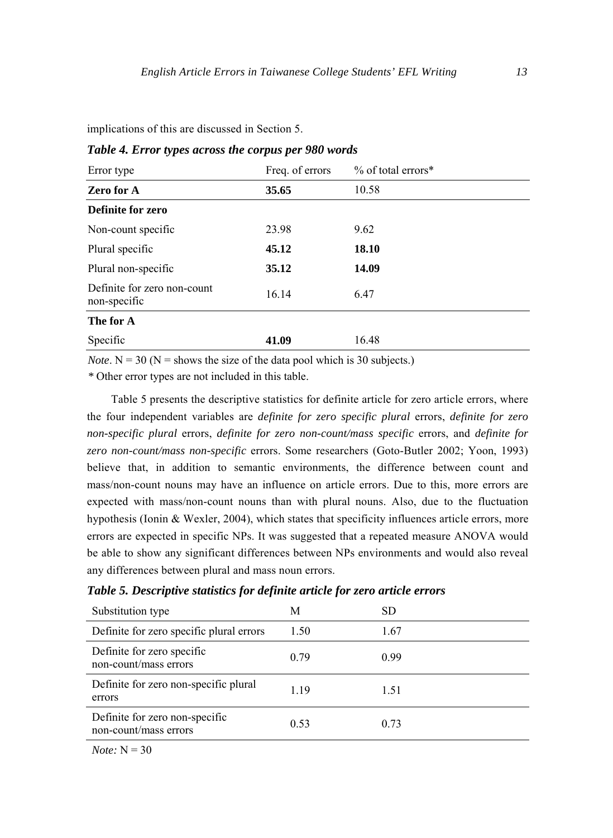implications of this are discussed in Section 5.

| Error type                                  | Freq. of errors | $%$ of total errors* |
|---------------------------------------------|-----------------|----------------------|
| Zero for A                                  | 35.65           | 10.58                |
| Definite for zero                           |                 |                      |
| Non-count specific                          | 23.98           | 9.62                 |
| Plural specific                             | 45.12           | 18.10                |
| Plural non-specific                         | 35.12           | 14.09                |
| Definite for zero non-count<br>non-specific | 16.14           | 6.47                 |
| The for A                                   |                 |                      |
| Specific                                    | 41.09           | 16.48                |

#### *Table 4. Error types across the corpus per 980 words*

*Note*.  $N = 30$  ( $N =$  shows the size of the data pool which is 30 subjects.)

*\** Other error types are not included in this table.

Table 5 presents the descriptive statistics for definite article for zero article errors, where the four independent variables are *definite for zero specific plural* errors, *definite for zero non-specific plural* errors, *definite for zero non-count/mass specific* errors, and *definite for zero non-count/mass non-specific* errors. Some researchers (Goto-Butler 2002; Yoon, 1993) believe that, in addition to semantic environments, the difference between count and mass/non-count nouns may have an influence on article errors. Due to this, more errors are expected with mass/non-count nouns than with plural nouns. Also, due to the fluctuation hypothesis (Ionin & Wexler, 2004), which states that specificity influences article errors, more errors are expected in specific NPs. It was suggested that a repeated measure ANOVA would be able to show any significant differences between NPs environments and would also reveal any differences between plural and mass noun errors.

*Table 5. Descriptive statistics for definite article for zero article errors* 

| Substitution type                                       | М    | SD   |
|---------------------------------------------------------|------|------|
| Definite for zero specific plural errors                | 1.50 | 1.67 |
| Definite for zero specific<br>non-count/mass errors     | 0.79 | 0.99 |
| Definite for zero non-specific plural<br>errors         | 1.19 | 1.51 |
| Definite for zero non-specific<br>non-count/mass errors | 0.53 | 0.73 |

*Note:*  $N = 30$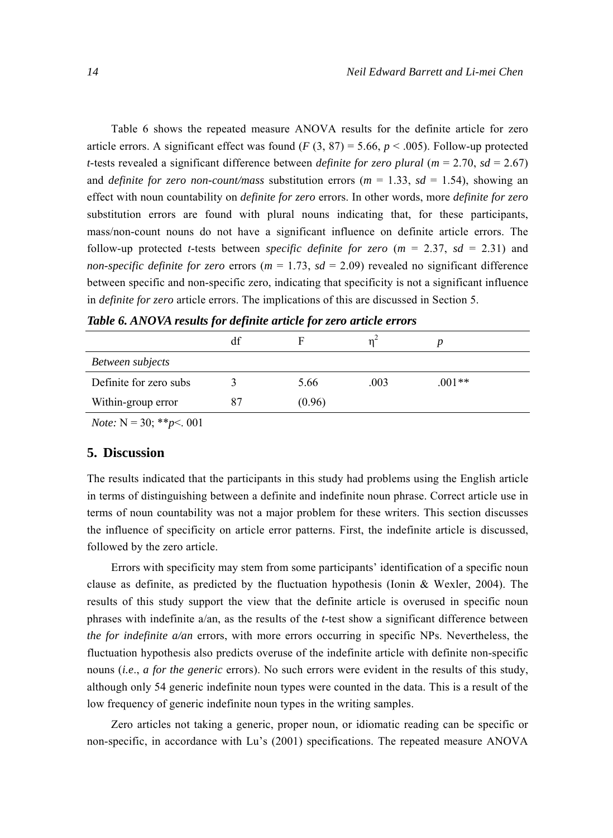Table 6 shows the repeated measure ANOVA results for the definite article for zero article errors. A significant effect was found  $(F (3, 87) = 5.66, p < .005)$ . Follow-up protected *t*-tests revealed a significant difference between *definite for zero plural* ( $m = 2.70$ ,  $sd = 2.67$ ) and *definite for zero non-count/mass* substitution errors ( $m = 1.33$ ,  $sd = 1.54$ ), showing an effect with noun countability on *definite for zero* errors. In other words, more *definite for zero*  substitution errors are found with plural nouns indicating that, for these participants, mass/non-count nouns do not have a significant influence on definite article errors. The follow-up protected *t*-tests between *specific definite for zero* (*m* = 2.37, *sd* = 2.31) and *non-specific definite for zero* errors ( $m = 1.73$ ,  $sd = 2.09$ ) revealed no significant difference between specific and non-specific zero, indicating that specificity is not a significant influence in *definite for zero* article errors. The implications of this are discussed in Section 5.

|                        | df |        |      |          |  |
|------------------------|----|--------|------|----------|--|
| Between subjects       |    |        |      |          |  |
| Definite for zero subs |    | 5.66   | .003 | $.001**$ |  |
| Within-group error     | 87 | (0.96) |      |          |  |
|                        |    |        |      |          |  |

*Table 6. ANOVA results for definite article for zero article errors* 

*Note:* N = 30; \*\**p*<. 001

#### **5. Discussion**

The results indicated that the participants in this study had problems using the English article in terms of distinguishing between a definite and indefinite noun phrase. Correct article use in terms of noun countability was not a major problem for these writers. This section discusses the influence of specificity on article error patterns. First, the indefinite article is discussed, followed by the zero article.

Errors with specificity may stem from some participants' identification of a specific noun clause as definite, as predicted by the fluctuation hypothesis (Ionin & Wexler, 2004). The results of this study support the view that the definite article is overused in specific noun phrases with indefinite a/an, as the results of the *t*-test show a significant difference between *the for indefinite a/an* errors, with more errors occurring in specific NPs. Nevertheless, the fluctuation hypothesis also predicts overuse of the indefinite article with definite non-specific nouns (*i.e*., *a for the generic* errors). No such errors were evident in the results of this study, although only 54 generic indefinite noun types were counted in the data. This is a result of the low frequency of generic indefinite noun types in the writing samples.

Zero articles not taking a generic, proper noun, or idiomatic reading can be specific or non-specific, in accordance with Lu's (2001) specifications. The repeated measure ANOVA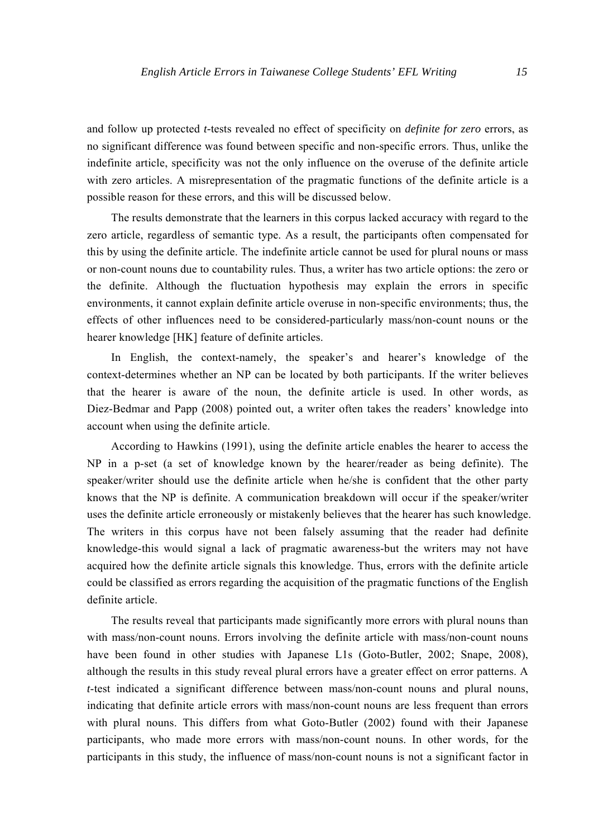and follow up protected *t-*tests revealed no effect of specificity on *definite for zero* errors, as no significant difference was found between specific and non-specific errors. Thus, unlike the indefinite article, specificity was not the only influence on the overuse of the definite article with zero articles. A misrepresentation of the pragmatic functions of the definite article is a possible reason for these errors, and this will be discussed below.

The results demonstrate that the learners in this corpus lacked accuracy with regard to the zero article, regardless of semantic type. As a result, the participants often compensated for this by using the definite article. The indefinite article cannot be used for plural nouns or mass or non-count nouns due to countability rules. Thus, a writer has two article options: the zero or the definite. Although the fluctuation hypothesis may explain the errors in specific environments, it cannot explain definite article overuse in non-specific environments; thus, the effects of other influences need to be considered-particularly mass/non-count nouns or the hearer knowledge [HK] feature of definite articles.

In English, the context-namely, the speaker's and hearer's knowledge of the context-determines whether an NP can be located by both participants. If the writer believes that the hearer is aware of the noun, the definite article is used. In other words, as Diez-Bedmar and Papp (2008) pointed out, a writer often takes the readers' knowledge into account when using the definite article.

According to Hawkins (1991), using the definite article enables the hearer to access the NP in a p-set (a set of knowledge known by the hearer/reader as being definite). The speaker/writer should use the definite article when he/she is confident that the other party knows that the NP is definite. A communication breakdown will occur if the speaker/writer uses the definite article erroneously or mistakenly believes that the hearer has such knowledge. The writers in this corpus have not been falsely assuming that the reader had definite knowledge-this would signal a lack of pragmatic awareness-but the writers may not have acquired how the definite article signals this knowledge. Thus, errors with the definite article could be classified as errors regarding the acquisition of the pragmatic functions of the English definite article.

The results reveal that participants made significantly more errors with plural nouns than with mass/non-count nouns. Errors involving the definite article with mass/non-count nouns have been found in other studies with Japanese L1s (Goto-Butler, 2002; Snape, 2008), although the results in this study reveal plural errors have a greater effect on error patterns. A *t*-test indicated a significant difference between mass/non-count nouns and plural nouns, indicating that definite article errors with mass/non-count nouns are less frequent than errors with plural nouns. This differs from what Goto-Butler (2002) found with their Japanese participants, who made more errors with mass/non-count nouns. In other words, for the participants in this study, the influence of mass/non-count nouns is not a significant factor in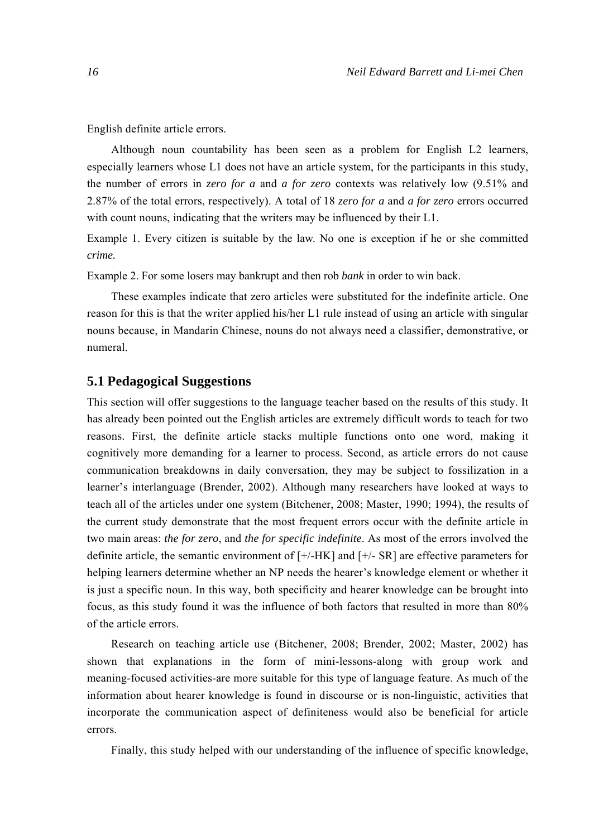English definite article errors.

Although noun countability has been seen as a problem for English L2 learners, especially learners whose L1 does not have an article system, for the participants in this study, the number of errors in *zero for a* and *a for zero* contexts was relatively low (9.51% and 2.87% of the total errors, respectively). A total of 18 *zero for a* and *a for zero* errors occurred with count nouns, indicating that the writers may be influenced by their L1.

Example 1. Every citizen is suitable by the law. No one is exception if he or she committed *crime.*

Example 2. For some losers may bankrupt and then rob *bank* in order to win back.

These examples indicate that zero articles were substituted for the indefinite article. One reason for this is that the writer applied his/her L1 rule instead of using an article with singular nouns because, in Mandarin Chinese, nouns do not always need a classifier, demonstrative, or numeral.

#### **5.1 Pedagogical Suggestions**

This section will offer suggestions to the language teacher based on the results of this study. It has already been pointed out the English articles are extremely difficult words to teach for two reasons. First, the definite article stacks multiple functions onto one word, making it cognitively more demanding for a learner to process. Second, as article errors do not cause communication breakdowns in daily conversation, they may be subject to fossilization in a learner's interlanguage (Brender, 2002). Although many researchers have looked at ways to teach all of the articles under one system (Bitchener, 2008; Master, 1990; 1994), the results of the current study demonstrate that the most frequent errors occur with the definite article in two main areas: *the for zero*, and *the for specific indefinite*. As most of the errors involved the definite article, the semantic environment of [+/-HK] and [+/- SR] are effective parameters for helping learners determine whether an NP needs the hearer's knowledge element or whether it is just a specific noun. In this way, both specificity and hearer knowledge can be brought into focus, as this study found it was the influence of both factors that resulted in more than 80% of the article errors.

Research on teaching article use (Bitchener, 2008; Brender, 2002; Master, 2002) has shown that explanations in the form of mini-lessons-along with group work and meaning-focused activities-are more suitable for this type of language feature. As much of the information about hearer knowledge is found in discourse or is non-linguistic, activities that incorporate the communication aspect of definiteness would also be beneficial for article errors.

Finally, this study helped with our understanding of the influence of specific knowledge,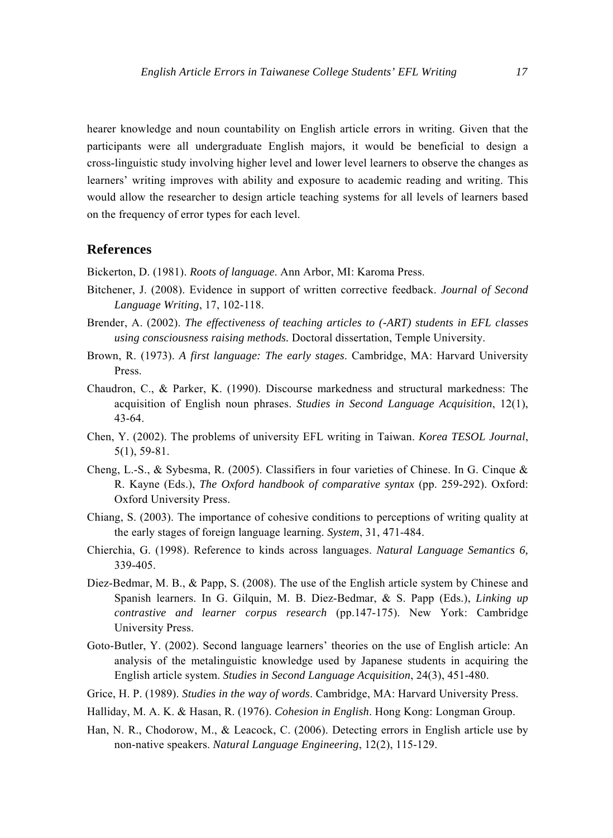hearer knowledge and noun countability on English article errors in writing. Given that the participants were all undergraduate English majors, it would be beneficial to design a cross-linguistic study involving higher level and lower level learners to observe the changes as learners' writing improves with ability and exposure to academic reading and writing. This would allow the researcher to design article teaching systems for all levels of learners based on the frequency of error types for each level.

## **References**

Bickerton, D. (1981). *Roots of language*. Ann Arbor, MI: Karoma Press.

- Bitchener, J. (2008). Evidence in support of written corrective feedback. *Journal of Second Language Writing*, 17, 102-118.
- Brender, A. (2002). *The effectiveness of teaching articles to (-ART) students in EFL classes using consciousness raising methods.* Doctoral dissertation, Temple University.
- Brown, R. (1973). *A first language: The early stages*. Cambridge, MA: Harvard University Press.
- Chaudron, C., & Parker, K. (1990). Discourse markedness and structural markedness: The acquisition of English noun phrases. *Studies in Second Language Acquisition*, 12(1), 43-64.
- Chen, Y. (2002). The problems of university EFL writing in Taiwan. *Korea TESOL Journal*, 5(1), 59-81.
- Cheng, L.-S., & Sybesma, R. (2005). Classifiers in four varieties of Chinese. In G. Cinque & R. Kayne (Eds.), *The Oxford handbook of comparative syntax* (pp. 259-292). Oxford: Oxford University Press.
- Chiang, S. (2003). The importance of cohesive conditions to perceptions of writing quality at the early stages of foreign language learning. *System*, 31, 471-484.
- Chierchia, G. (1998). Reference to kinds across languages. *Natural Language Semantics 6,* 339-405.
- Diez-Bedmar, M. B., & Papp, S. (2008). The use of the English article system by Chinese and Spanish learners. In G. Gilquin, M. B. Diez-Bedmar, & S. Papp (Eds.), *Linking up contrastive and learner corpus research* (pp.147-175). New York: Cambridge University Press.
- Goto-Butler, Y. (2002). Second language learners' theories on the use of English article: An analysis of the metalinguistic knowledge used by Japanese students in acquiring the English article system. *Studies in Second Language Acquisition*, 24(3), 451-480.
- Grice, H. P. (1989). *Studies in the way of words*. Cambridge, MA: Harvard University Press.
- Halliday, M. A. K. & Hasan, R. (1976). *Cohesion in English*. Hong Kong: Longman Group.
- Han, N. R., Chodorow, M., & Leacock, C. (2006). Detecting errors in English article use by non-native speakers. *Natural Language Engineering*, 12(2), 115-129.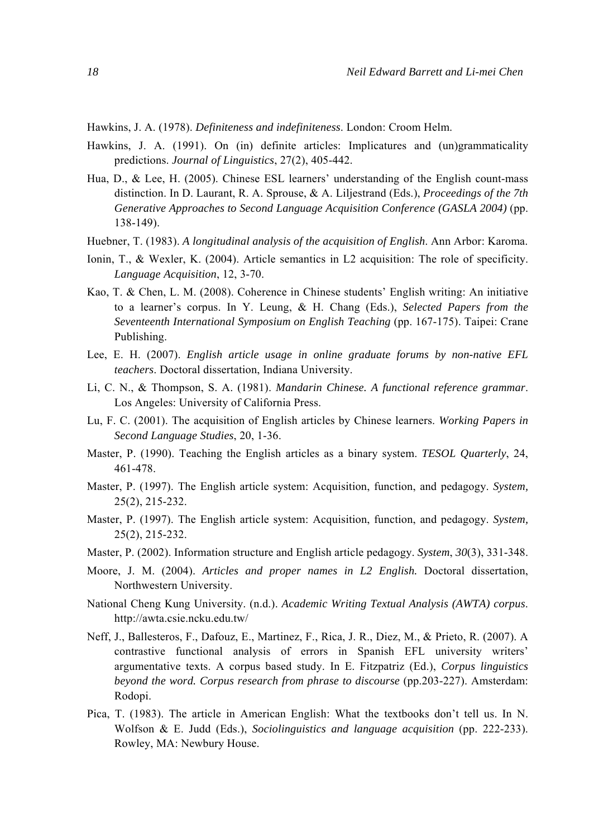Hawkins, J. A. (1978). *Definiteness and indefiniteness*. London: Croom Helm.

- Hawkins, J. A. (1991). On (in) definite articles: Implicatures and (un)grammaticality predictions. *Journal of Linguistics*, 27(2), 405-442.
- Hua, D., & Lee, H. (2005). Chinese ESL learners' understanding of the English count-mass distinction. In D. Laurant, R. A. Sprouse, & A. Liljestrand (Eds.), *Proceedings of the 7th Generative Approaches to Second Language Acquisition Conference (GASLA 2004)* (pp. 138-149).
- Huebner, T. (1983). *A longitudinal analysis of the acquisition of English*. Ann Arbor: Karoma.
- Ionin, T., & Wexler, K. (2004). Article semantics in L2 acquisition: The role of specificity. *Language Acquisition*, 12, 3-70.
- Kao, T. & Chen, L. M. (2008). Coherence in Chinese students' English writing: An initiative to a learner's corpus. In Y. Leung, & H. Chang (Eds.), *Selected Papers from the Seventeenth International Symposium on English Teaching* (pp. 167-175). Taipei: Crane Publishing.
- Lee, E. H. (2007). *English article usage in online graduate forums by non-native EFL teachers*. Doctoral dissertation, Indiana University.
- Li, C. N., & Thompson, S. A. (1981). *Mandarin Chinese. A functional reference grammar*. Los Angeles: University of California Press.
- Lu, F. C. (2001). The acquisition of English articles by Chinese learners. *Working Papers in Second Language Studies*, 20, 1-36.
- Master, P. (1990). Teaching the English articles as a binary system. *TESOL Quarterly*, 24, 461-478.
- Master, P. (1997). The English article system: Acquisition, function, and pedagogy. *System,*  25(2), 215-232.
- Master, P. (1997). The English article system: Acquisition, function, and pedagogy. *System,*  25(2), 215-232.
- Master, P. (2002). Information structure and English article pedagogy. *System*, *30*(3), 331-348.
- Moore, J. M. (2004). *Articles and proper names in L2 English.* Doctoral dissertation, Northwestern University.
- National Cheng Kung University. (n.d.). *Academic Writing Textual Analysis (AWTA) corpus*. http://awta.csie.ncku.edu.tw/
- Neff, J., Ballesteros, F., Dafouz, E., Martinez, F., Rica, J. R., Diez, M., & Prieto, R. (2007). A contrastive functional analysis of errors in Spanish EFL university writers' argumentative texts. A corpus based study. In E. Fitzpatriz (Ed.), *Corpus linguistics beyond the word. Corpus research from phrase to discourse* (pp.203-227). Amsterdam: Rodopi.
- Pica, T. (1983). The article in American English: What the textbooks don't tell us. In N. Wolfson & E. Judd (Eds.), *Sociolinguistics and language acquisition* (pp. 222-233). Rowley, MA: Newbury House.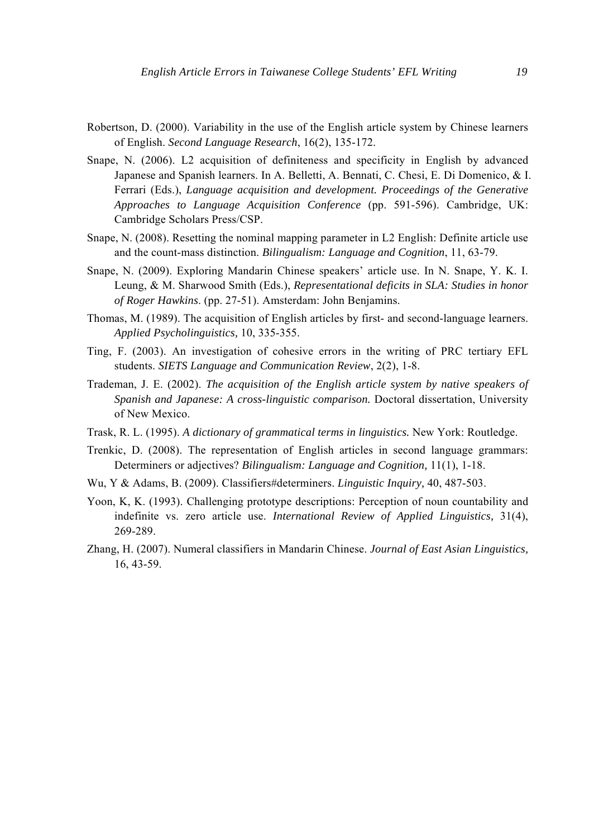- Robertson, D. (2000). Variability in the use of the English article system by Chinese learners of English. *Second Language Research*, 16(2), 135-172.
- Snape, N. (2006). L2 acquisition of definiteness and specificity in English by advanced Japanese and Spanish learners. In A. Belletti, A. Bennati, C. Chesi, E. Di Domenico, & I. Ferrari (Eds.), *Language acquisition and development. Proceedings of the Generative Approaches to Language Acquisition Conference* (pp. 591-596). Cambridge, UK: Cambridge Scholars Press/CSP.
- Snape, N. (2008). Resetting the nominal mapping parameter in L2 English: Definite article use and the count-mass distinction. *Bilingualism: Language and Cognition*, 11, 63-79.
- Snape, N. (2009). Exploring Mandarin Chinese speakers' article use. In N. Snape, Y. K. I. Leung, & M. Sharwood Smith (Eds.), *Representational deficits in SLA: Studies in honor of Roger Hawkins*. (pp. 27-51). Amsterdam: John Benjamins.
- Thomas, M. (1989). The acquisition of English articles by first- and second-language learners. *Applied Psycholinguistics,* 10, 335-355.
- Ting, F. (2003). An investigation of cohesive errors in the writing of PRC tertiary EFL students. *SIETS Language and Communication Review*, 2(2), 1-8.
- Trademan, J. E. (2002). *The acquisition of the English article system by native speakers of Spanish and Japanese: A cross-linguistic comparison.* Doctoral dissertation, University of New Mexico.
- Trask, R. L. (1995). *A dictionary of grammatical terms in linguistics.* New York: Routledge.
- Trenkic, D. (2008). The representation of English articles in second language grammars: Determiners or adjectives? *Bilingualism: Language and Cognition,* 11(1), 1-18.
- Wu, Y & Adams, B. (2009). Classifiers#determiners. *Linguistic Inquiry,* 40, 487-503.
- Yoon, K, K. (1993). Challenging prototype descriptions: Perception of noun countability and indefinite vs. zero article use. *International Review of Applied Linguistics,* 31(4), 269-289.
- Zhang, H. (2007). Numeral classifiers in Mandarin Chinese. *Journal of East Asian Linguistics,*  16, 43-59.